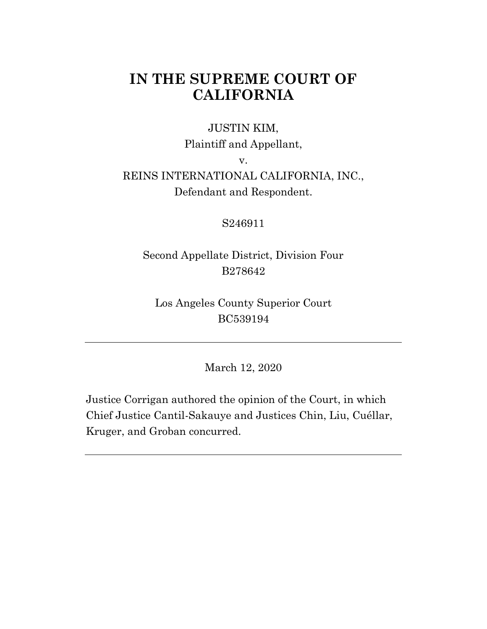# **IN THE SUPREME COURT OF CALIFORNIA**

#### JUSTIN KIM,

Plaintiff and Appellant,

v.

# REINS INTERNATIONAL CALIFORNIA, INC., Defendant and Respondent.

#### S246911

## Second Appellate District, Division Four B278642

### Los Angeles County Superior Court BC539194

March 12, 2020

Justice Corrigan authored the opinion of the Court, in which Chief Justice Cantil-Sakauye and Justices Chin, Liu, Cuéllar, Kruger, and Groban concurred.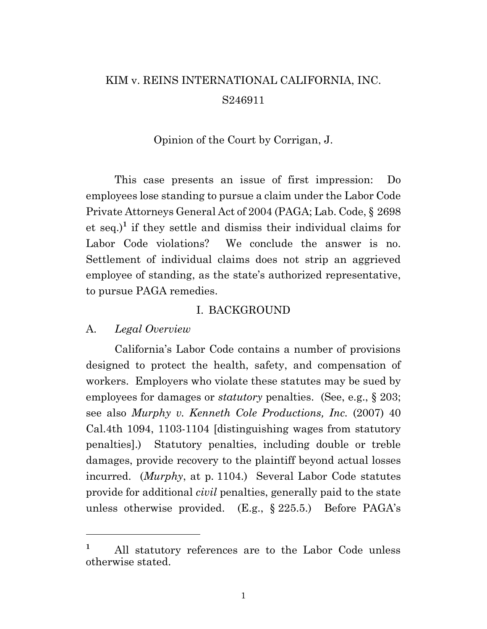# KIM v. REINS INTERNATIONAL CALIFORNIA, INC. S246911

Opinion of the Court by Corrigan, J.

This case presents an issue of first impression: Do employees lose standing to pursue a claim under the Labor Code Private Attorneys General Act of 2004 (PAGA; Lab. Code, § 2698 et seq.)**<sup>1</sup>** if they settle and dismiss their individual claims for Labor Code violations? We conclude the answer is no. Settlement of individual claims does not strip an aggrieved employee of standing, as the state's authorized representative, to pursue PAGA remedies.

#### I. BACKGROUND

#### A. *Legal Overview*

California's Labor Code contains a number of provisions designed to protect the health, safety, and compensation of workers. Employers who violate these statutes may be sued by employees for damages or *statutory* penalties. (See, e.g., § 203; see also *Murphy v. Kenneth Cole Productions, Inc.* (2007) 40 Cal.4th 1094, 1103-1104 [distinguishing wages from statutory penalties].) Statutory penalties, including double or treble damages, provide recovery to the plaintiff beyond actual losses incurred. (*Murphy*, at p. 1104.) Several Labor Code statutes provide for additional *civil* penalties, generally paid to the state unless otherwise provided. (E.g., § 225.5.) Before PAGA's

**<sup>1</sup>** All statutory references are to the Labor Code unless otherwise stated.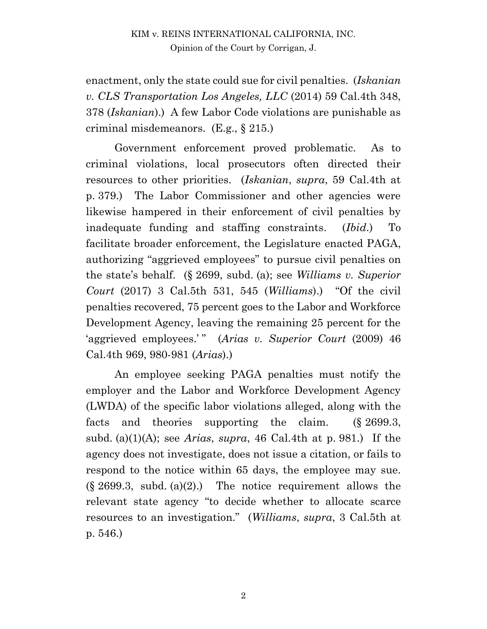enactment, only the state could sue for civil penalties. (*Iskanian v. CLS Transportation Los Angeles, LLC* (2014) 59 Cal.4th 348, 378 (*Iskanian*).) A few Labor Code violations are punishable as criminal misdemeanors. (E.g., § 215.)

Government enforcement proved problematic. As to criminal violations, local prosecutors often directed their resources to other priorities. (*Iskanian*, *supra*, 59 Cal.4th at p. 379.) The Labor Commissioner and other agencies were likewise hampered in their enforcement of civil penalties by inadequate funding and staffing constraints. (*Ibid*.) To facilitate broader enforcement, the Legislature enacted PAGA, authorizing "aggrieved employees" to pursue civil penalties on the state's behalf. (§ 2699, subd. (a); see *Williams v. Superior Court* (2017) 3 Cal.5th 531, 545 (*Williams*).) "Of the civil penalties recovered, 75 percent goes to the Labor and Workforce Development Agency, leaving the remaining 25 percent for the 'aggrieved employees.'" (*Arias v. Superior Court* (2009) 46 Cal.4th 969, 980-981 (*Arias*).)

An employee seeking PAGA penalties must notify the employer and the Labor and Workforce Development Agency (LWDA) of the specific labor violations alleged, along with the facts and theories supporting the claim. (§ 2699.3, subd. (a)(1)(A); see *Arias*, *supra*, 46 Cal.4th at p. 981.) If the agency does not investigate, does not issue a citation, or fails to respond to the notice within 65 days, the employee may sue.  $(\S 2699.3, \text{ subd. (a)}(2))$ . The notice requirement allows the relevant state agency "to decide whether to allocate scarce resources to an investigation." (*Williams*, *supra*, 3 Cal.5th at p. 546.)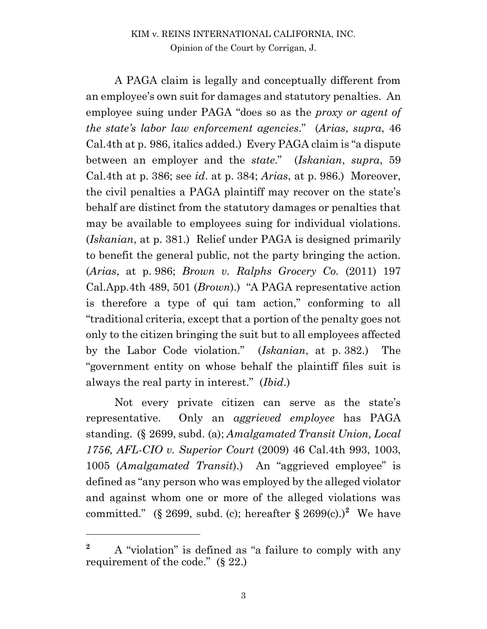A PAGA claim is legally and conceptually different from an employee's own suit for damages and statutory penalties. An employee suing under PAGA "does so as the *proxy or agent of the state's labor law enforcement agencies*." (*Arias*, *supra*, 46 Cal.4th at p. 986, italics added.) Every PAGA claim is "a dispute between an employer and the *state*." (*Iskanian*, *supra*, 59 Cal.4th at p. 386; see *id*. at p. 384; *Arias*, at p. 986.) Moreover, the civil penalties a PAGA plaintiff may recover on the state's behalf are distinct from the statutory damages or penalties that may be available to employees suing for individual violations. (*Iskanian*, at p. 381.) Relief under PAGA is designed primarily to benefit the general public, not the party bringing the action. (*Arias*, at p. 986; *Brown v. Ralphs Grocery Co.* (2011) 197 Cal.App.4th 489, 501 (*Brown*).) "A PAGA representative action is therefore a type of qui tam action," conforming to all "traditional criteria, except that a portion of the penalty goes not only to the citizen bringing the suit but to all employees affected by the Labor Code violation." (*Iskanian*, at p. 382.) The "government entity on whose behalf the plaintiff files suit is always the real party in interest." (*Ibid*.)

Not every private citizen can serve as the state's representative. Only an *aggrieved employee* has PAGA standing. (§ 2699, subd. (a); *Amalgamated Transit Union, Local 1756, AFL-CIO v. Superior Court* (2009) 46 Cal.4th 993, 1003, 1005 (*Amalgamated Transit*).) An "aggrieved employee" is defined as "any person who was employed by the alleged violator and against whom one or more of the alleged violations was committed." (§ 2699, subd. (c); hereafter § 2699(c).)<sup>2</sup> We have

**<sup>2</sup>** A "violation" is defined as "a failure to comply with any requirement of the code." (§ 22.)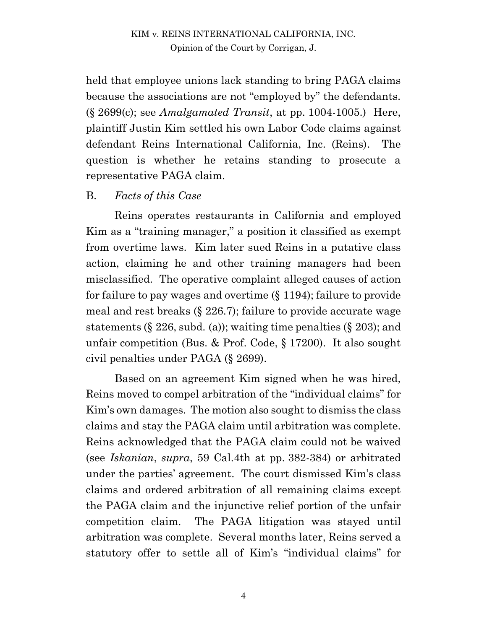held that employee unions lack standing to bring PAGA claims because the associations are not "employed by" the defendants. (§ 2699(c); see *Amalgamated Transit*, at pp. 1004-1005.) Here, plaintiff Justin Kim settled his own Labor Code claims against defendant Reins International California, Inc. (Reins). The question is whether he retains standing to prosecute a representative PAGA claim.

#### B. *Facts of this Case*

Reins operates restaurants in California and employed Kim as a "training manager," a position it classified as exempt from overtime laws. Kim later sued Reins in a putative class action, claiming he and other training managers had been misclassified. The operative complaint alleged causes of action for failure to pay wages and overtime (§ 1194); failure to provide meal and rest breaks (§ 226.7); failure to provide accurate wage statements  $(\S 226, \text{subd. (a)});$  waiting time penalties  $(\S 203);$  and unfair competition (Bus. & Prof. Code, § 17200). It also sought civil penalties under PAGA (§ 2699).

Based on an agreement Kim signed when he was hired, Reins moved to compel arbitration of the "individual claims" for Kim's own damages. The motion also sought to dismiss the class claims and stay the PAGA claim until arbitration was complete. Reins acknowledged that the PAGA claim could not be waived (see *Iskanian*, *supra*, 59 Cal.4th at pp. 382-384) or arbitrated under the parties' agreement. The court dismissed Kim's class claims and ordered arbitration of all remaining claims except the PAGA claim and the injunctive relief portion of the unfair competition claim. The PAGA litigation was stayed until arbitration was complete. Several months later, Reins served a statutory offer to settle all of Kim's "individual claims" for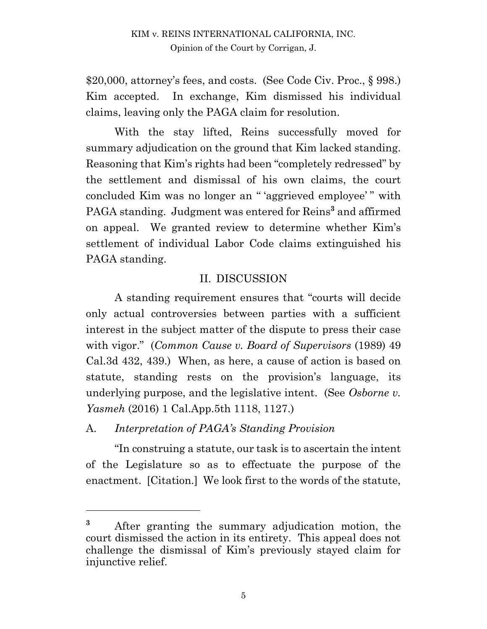\$20,000, attorney's fees, and costs. (See Code Civ. Proc., § 998.) Kim accepted. In exchange, Kim dismissed his individual claims, leaving only the PAGA claim for resolution.

With the stay lifted, Reins successfully moved for summary adjudication on the ground that Kim lacked standing. Reasoning that Kim's rights had been "completely redressed" by the settlement and dismissal of his own claims, the court concluded Kim was no longer an " 'aggrieved employee' " with PAGA standing. Judgment was entered for Reins**<sup>3</sup>** and affirmed on appeal. We granted review to determine whether Kim's settlement of individual Labor Code claims extinguished his PAGA standing.

## II. DISCUSSION

A standing requirement ensures that "courts will decide only actual controversies between parties with a sufficient interest in the subject matter of the dispute to press their case with vigor." (*Common Cause v. Board of Supervisors* (1989) 49 Cal.3d 432, 439.) When, as here, a cause of action is based on statute, standing rests on the provision's language, its underlying purpose, and the legislative intent. (See *Osborne v. Yasmeh* (2016) 1 Cal.App.5th 1118, 1127.)

A. *Interpretation of PAGA's Standing Provision*

"In construing a statute, our task is to ascertain the intent of the Legislature so as to effectuate the purpose of the enactment. [Citation.] We look first to the words of the statute,

**<sup>3</sup>** After granting the summary adjudication motion, the court dismissed the action in its entirety. This appeal does not challenge the dismissal of Kim's previously stayed claim for injunctive relief.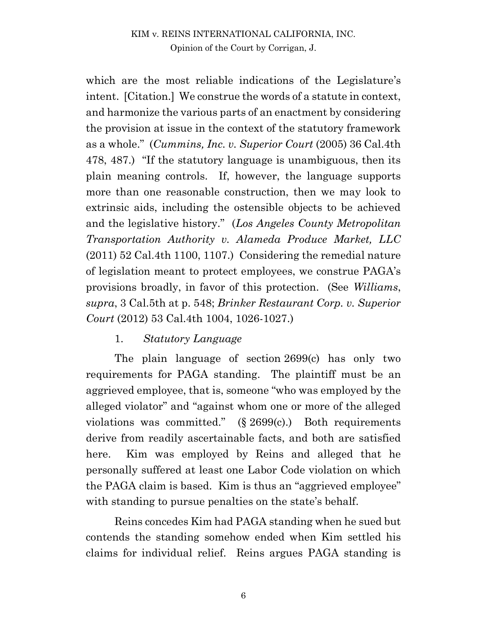#### KIM v. REINS INTERNATIONAL CALIFORNIA, INC. Opinion of the Court by Corrigan, J.

which are the most reliable indications of the Legislature's intent. [Citation.] We construe the words of a statute in context, and harmonize the various parts of an enactment by considering the provision at issue in the context of the statutory framework as a whole." (*Cummins, Inc. v. Superior Court* (2005) 36 Cal.4th 478, 487.) "If the statutory language is unambiguous, then its plain meaning controls. If, however, the language supports more than one reasonable construction, then we may look to extrinsic aids, including the ostensible objects to be achieved and the legislative history." (*Los Angeles County Metropolitan Transportation Authority v. Alameda Produce Market, LLC* (2011) 52 Cal.4th 1100, 1107.) Considering the remedial nature of legislation meant to protect employees, we construe PAGA's provisions broadly, in favor of this protection. (See *Williams*, *supra*, 3 Cal.5th at p. 548; *Brinker Restaurant Corp. v. Superior Court* (2012) 53 Cal.4th 1004, 1026-1027.)

#### 1. *Statutory Language*

The plain language of section 2699(c) has only two requirements for PAGA standing. The plaintiff must be an aggrieved employee, that is, someone "who was employed by the alleged violator" and "against whom one or more of the alleged violations was committed." (§ 2699(c).) Both requirements derive from readily ascertainable facts, and both are satisfied here. Kim was employed by Reins and alleged that he personally suffered at least one Labor Code violation on which the PAGA claim is based. Kim is thus an "aggrieved employee" with standing to pursue penalties on the state's behalf.

Reins concedes Kim had PAGA standing when he sued but contends the standing somehow ended when Kim settled his claims for individual relief. Reins argues PAGA standing is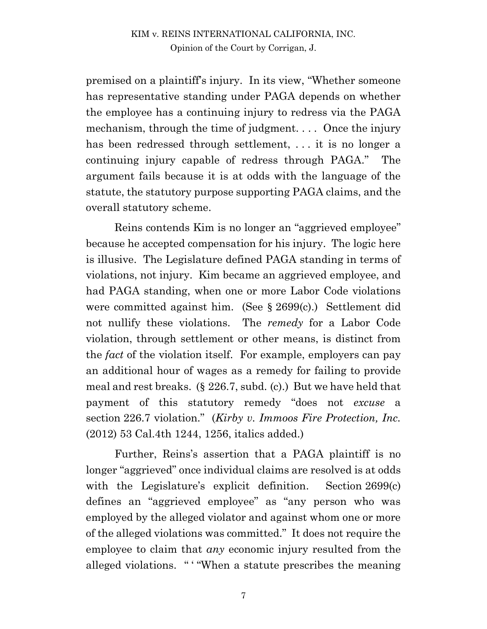#### KIM v. REINS INTERNATIONAL CALIFORNIA, INC. Opinion of the Court by Corrigan, J.

premised on a plaintiff's injury. In its view, "Whether someone has representative standing under PAGA depends on whether the employee has a continuing injury to redress via the PAGA mechanism, through the time of judgment.... Once the injury has been redressed through settlement, ... it is no longer a continuing injury capable of redress through PAGA." The argument fails because it is at odds with the language of the statute, the statutory purpose supporting PAGA claims, and the overall statutory scheme.

Reins contends Kim is no longer an "aggrieved employee" because he accepted compensation for his injury. The logic here is illusive. The Legislature defined PAGA standing in terms of violations, not injury. Kim became an aggrieved employee, and had PAGA standing, when one or more Labor Code violations were committed against him. (See § 2699(c).) Settlement did not nullify these violations. The *remedy* for a Labor Code violation, through settlement or other means, is distinct from the *fact* of the violation itself. For example, employers can pay an additional hour of wages as a remedy for failing to provide meal and rest breaks. (§ 226.7, subd. (c).) But we have held that payment of this statutory remedy "does not *excuse* a section 226.7 violation." (*Kirby v. Immoos Fire Protection, Inc.*  (2012) 53 Cal.4th 1244, 1256, italics added.)

Further, Reins's assertion that a PAGA plaintiff is no longer "aggrieved" once individual claims are resolved is at odds with the Legislature's explicit definition. Section 2699(c) defines an "aggrieved employee" as "any person who was employed by the alleged violator and against whom one or more of the alleged violations was committed." It does not require the employee to claim that *any* economic injury resulted from the alleged violations. " ' "When a statute prescribes the meaning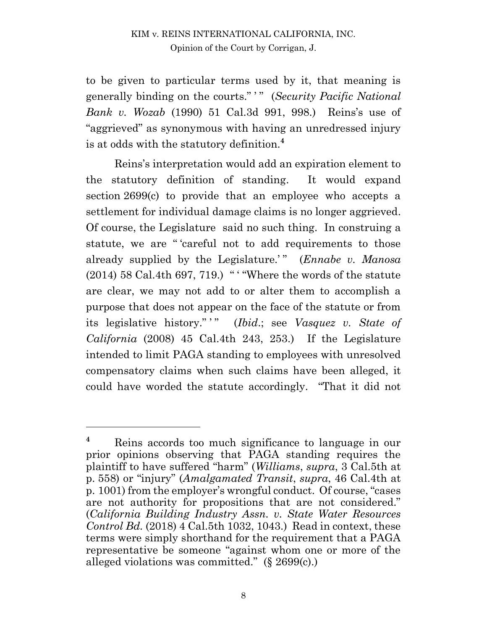to be given to particular terms used by it, that meaning is generally binding on the courts." ' " (*Security Pacific National Bank v. Wozab* (1990) 51 Cal.3d 991, 998.) Reins's use of "aggrieved" as synonymous with having an unredressed injury is at odds with the statutory definition.**<sup>4</sup>**

Reins's interpretation would add an expiration element to the statutory definition of standing. It would expand section 2699(c) to provide that an employee who accepts a settlement for individual damage claims is no longer aggrieved. Of course, the Legislature said no such thing. In construing a statute, we are " 'careful not to add requirements to those already supplied by the Legislature.'" (*Ennabe v. Manosa*)  $(2014)$  58 Cal.4th 697, 719.) " "Where the words of the statute are clear, we may not add to or alter them to accomplish a purpose that does not appear on the face of the statute or from its legislative history." " (*Ibid.*; see *Vasquez v. State of California* (2008) 45 Cal.4th 243, 253.) If the Legislature intended to limit PAGA standing to employees with unresolved compensatory claims when such claims have been alleged, it could have worded the statute accordingly. "That it did not

 $\overline{a}$ 

**<sup>4</sup>** Reins accords too much significance to language in our prior opinions observing that PAGA standing requires the plaintiff to have suffered "harm" (*Williams*, *supra*, 3 Cal.5th at p. 558) or "injury" (*Amalgamated Transit*, *supra*, 46 Cal.4th at p. 1001) from the employer's wrongful conduct. Of course, "cases are not authority for propositions that are not considered." (*California Building Industry Assn. v. State Water Resources Control Bd.* (2018) 4 Cal.5th 1032, 1043.) Read in context, these terms were simply shorthand for the requirement that a PAGA representative be someone "against whom one or more of the alleged violations was committed." (§ 2699(c).)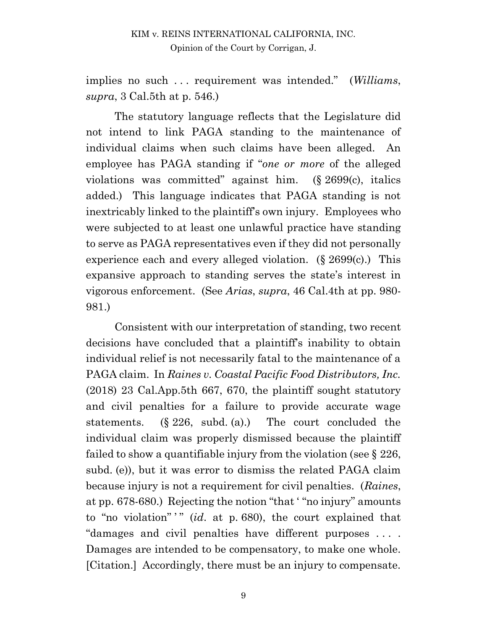implies no such . . . requirement was intended." (*Williams*, *supra*, 3 Cal.5th at p. 546.)

The statutory language reflects that the Legislature did not intend to link PAGA standing to the maintenance of individual claims when such claims have been alleged. An employee has PAGA standing if "*one or more* of the alleged violations was committed" against him. (§ 2699(c), italics added.) This language indicates that PAGA standing is not inextricably linked to the plaintiff's own injury. Employees who were subjected to at least one unlawful practice have standing to serve as PAGA representatives even if they did not personally experience each and every alleged violation. (§ 2699(c).) This expansive approach to standing serves the state's interest in vigorous enforcement. (See *Arias*, *supra*, 46 Cal.4th at pp. 980- 981.)

Consistent with our interpretation of standing, two recent decisions have concluded that a plaintiff's inability to obtain individual relief is not necessarily fatal to the maintenance of a PAGA claim. In *Raines v. Coastal Pacific Food Distributors, Inc.* (2018) 23 Cal.App.5th 667, 670, the plaintiff sought statutory and civil penalties for a failure to provide accurate wage statements. (§ 226, subd. (a).) The court concluded the individual claim was properly dismissed because the plaintiff failed to show a quantifiable injury from the violation (see  $\S 226$ , subd. (e)), but it was error to dismiss the related PAGA claim because injury is not a requirement for civil penalties. (*Raines*, at pp. 678-680.) Rejecting the notion "that ' "no injury" amounts to "no violation" is *(id. at p. 680)*, the court explained that "damages and civil penalties have different purposes . . . . Damages are intended to be compensatory, to make one whole. [Citation.] Accordingly, there must be an injury to compensate.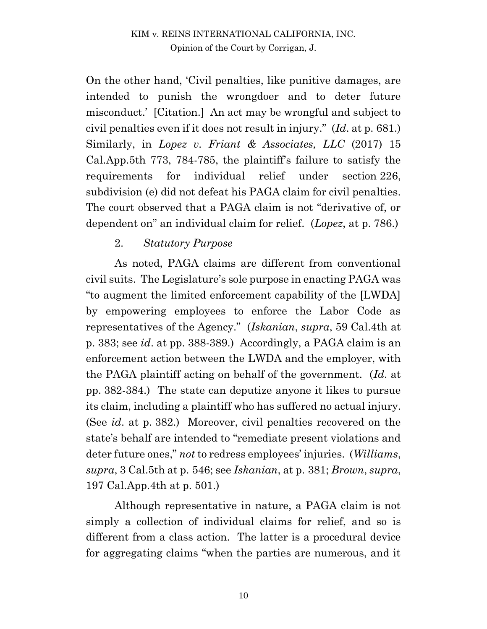On the other hand, 'Civil penalties, like punitive damages, are intended to punish the wrongdoer and to deter future misconduct.' [Citation.] An act may be wrongful and subject to civil penalties even if it does not result in injury." (*Id*. at p. 681.) Similarly, in *Lopez v. Friant & Associates, LLC* (2017) 15 Cal.App.5th 773, 784-785, the plaintiff's failure to satisfy the requirements for individual relief under section 226, subdivision (e) did not defeat his PAGA claim for civil penalties. The court observed that a PAGA claim is not "derivative of, or dependent on" an individual claim for relief. (*Lopez*, at p. 786.)

### 2. *Statutory Purpose*

As noted, PAGA claims are different from conventional civil suits. The Legislature's sole purpose in enacting PAGA was "to augment the limited enforcement capability of the [LWDA] by empowering employees to enforce the Labor Code as representatives of the Agency." (*Iskanian*, *supra*, 59 Cal.4th at p. 383; see *id*. at pp. 388-389.) Accordingly, a PAGA claim is an enforcement action between the LWDA and the employer, with the PAGA plaintiff acting on behalf of the government. (*Id*. at pp. 382-384.) The state can deputize anyone it likes to pursue its claim, including a plaintiff who has suffered no actual injury. (See *id*. at p. 382.) Moreover, civil penalties recovered on the state's behalf are intended to "remediate present violations and deter future ones," *not* to redress employees' injuries. (*Williams*, *supra*, 3 Cal.5th at p. 546; see *Iskanian*, at p. 381; *Brown*, *supra*, 197 Cal.App.4th at p. 501.)

Although representative in nature, a PAGA claim is not simply a collection of individual claims for relief, and so is different from a class action. The latter is a procedural device for aggregating claims "when the parties are numerous, and it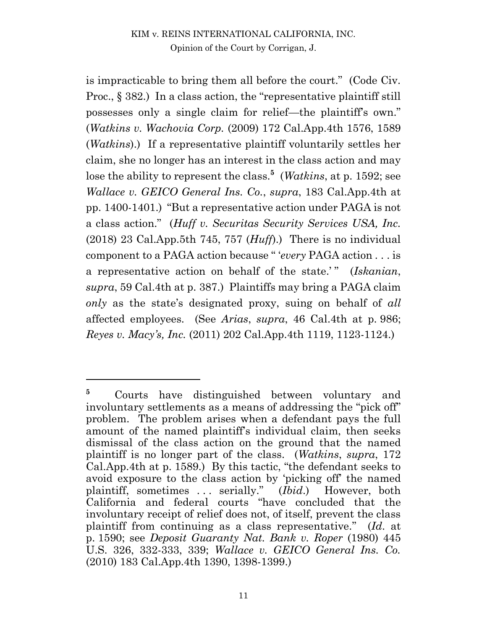is impracticable to bring them all before the court." (Code Civ. Proc., § 382.) In a class action, the "representative plaintiff still possesses only a single claim for relief—the plaintiff's own." (*Watkins v. Wachovia Corp.* (2009) 172 Cal.App.4th 1576, 1589 (*Watkins*).) If a representative plaintiff voluntarily settles her claim, she no longer has an interest in the class action and may lose the ability to represent the class.**<sup>5</sup>** (*Watkins*, at p. 1592; see *Wallace v. GEICO General Ins. Co.*, *supra*, 183 Cal.App.4th at pp. 1400-1401.) "But a representative action under PAGA is not a class action." (*Huff v. Securitas Security Services USA, Inc.* (2018) 23 Cal.App.5th 745, 757 (*Huff*).) There is no individual component to a PAGA action because " '*every* PAGA action . . . is a representative action on behalf of the state.' " (*Iskanian*, *supra*, 59 Cal.4th at p. 387.) Plaintiffs may bring a PAGA claim *only* as the state's designated proxy, suing on behalf of *all* affected employees. (See *Arias*, *supra*, 46 Cal.4th at p. 986; *Reyes v. Macy's, Inc.* (2011) 202 Cal.App.4th 1119, 1123-1124.)

 $\overline{a}$ 

<sup>&</sup>lt;sup>5</sup> Courts have distinguished between voluntary and involuntary settlements as a means of addressing the "pick off" problem. The problem arises when a defendant pays the full amount of the named plaintiff's individual claim, then seeks dismissal of the class action on the ground that the named plaintiff is no longer part of the class. (*Watkins*, *supra*, 172 Cal.App.4th at p. 1589.) By this tactic, "the defendant seeks to avoid exposure to the class action by 'picking off' the named plaintiff, sometimes . . . serially." (*Ibid*.) However, both California and federal courts "have concluded that the involuntary receipt of relief does not, of itself, prevent the class plaintiff from continuing as a class representative." (*Id*. at p. 1590; see *Deposit Guaranty Nat. Bank v. Roper* (1980) 445 U.S. 326, 332-333, 339; *Wallace v. GEICO General Ins. Co.* (2010) 183 Cal.App.4th 1390, 1398-1399.)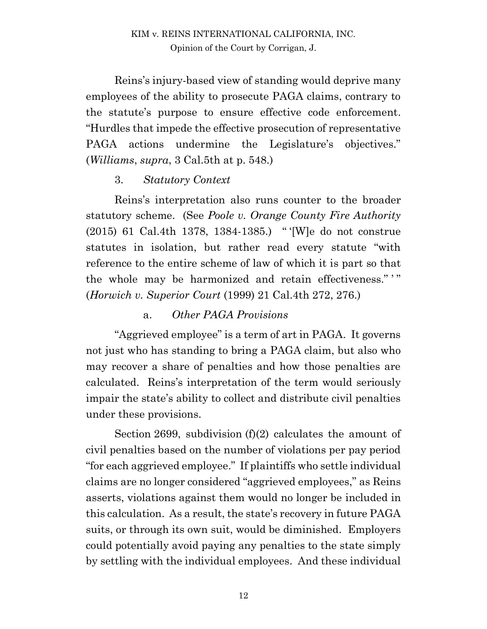Reins's injury-based view of standing would deprive many employees of the ability to prosecute PAGA claims, contrary to the statute's purpose to ensure effective code enforcement. "Hurdles that impede the effective prosecution of representative PAGA actions undermine the Legislature's objectives." (*Williams*, *supra*, 3 Cal.5th at p. 548.)

### 3. *Statutory Context*

Reins's interpretation also runs counter to the broader statutory scheme. (See *Poole v. Orange County Fire Authority* (2015) 61 Cal.4th 1378, 1384-1385.) " '[W]e do not construe statutes in isolation, but rather read every statute "with reference to the entire scheme of law of which it is part so that the whole may be harmonized and retain effectiveness."" (*Horwich v. Superior Court* (1999) 21 Cal.4th 272, 276.)

### a. *Other PAGA Provisions*

"Aggrieved employee" is a term of art in PAGA. It governs not just who has standing to bring a PAGA claim, but also who may recover a share of penalties and how those penalties are calculated. Reins's interpretation of the term would seriously impair the state's ability to collect and distribute civil penalties under these provisions.

Section 2699, subdivision (f)(2) calculates the amount of civil penalties based on the number of violations per pay period "for each aggrieved employee." If plaintiffs who settle individual claims are no longer considered "aggrieved employees," as Reins asserts, violations against them would no longer be included in this calculation. As a result, the state's recovery in future PAGA suits, or through its own suit, would be diminished. Employers could potentially avoid paying any penalties to the state simply by settling with the individual employees. And these individual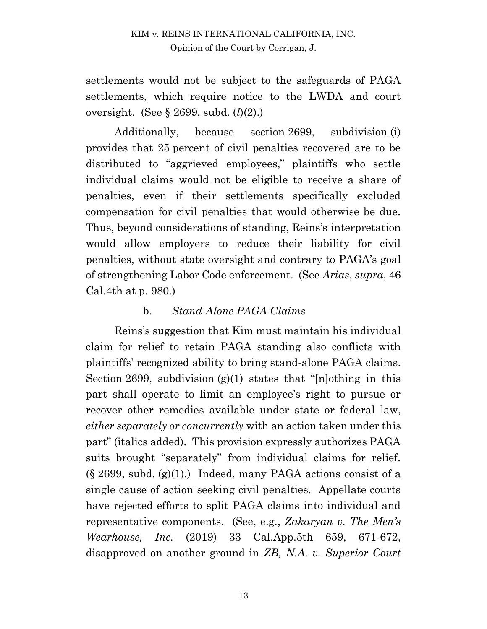settlements would not be subject to the safeguards of PAGA settlements, which require notice to the LWDA and court oversight. (See § 2699, subd. (*l*)(2).)

Additionally, because section 2699, subdivision (i) provides that 25 percent of civil penalties recovered are to be distributed to "aggrieved employees," plaintiffs who settle individual claims would not be eligible to receive a share of penalties, even if their settlements specifically excluded compensation for civil penalties that would otherwise be due. Thus, beyond considerations of standing, Reins's interpretation would allow employers to reduce their liability for civil penalties, without state oversight and contrary to PAGA's goal of strengthening Labor Code enforcement. (See *Arias*, *supra*, 46 Cal.4th at p. 980.)

### b. *Stand-Alone PAGA Claims*

Reins's suggestion that Kim must maintain his individual claim for relief to retain PAGA standing also conflicts with plaintiffs' recognized ability to bring stand-alone PAGA claims. Section 2699, subdivision  $(g)(1)$  states that "[n]othing in this part shall operate to limit an employee's right to pursue or recover other remedies available under state or federal law, *either separately or concurrently* with an action taken under this part" (italics added). This provision expressly authorizes PAGA suits brought "separately" from individual claims for relief.  $(\S 2699, \text{subd. (g)}(1))$ . Indeed, many PAGA actions consist of a single cause of action seeking civil penalties. Appellate courts have rejected efforts to split PAGA claims into individual and representative components. (See, e.g., *Zakaryan v. The Men's Wearhouse, Inc.* (2019) 33 Cal.App.5th 659, 671-672, disapproved on another ground in *ZB, N.A. v. Superior Court*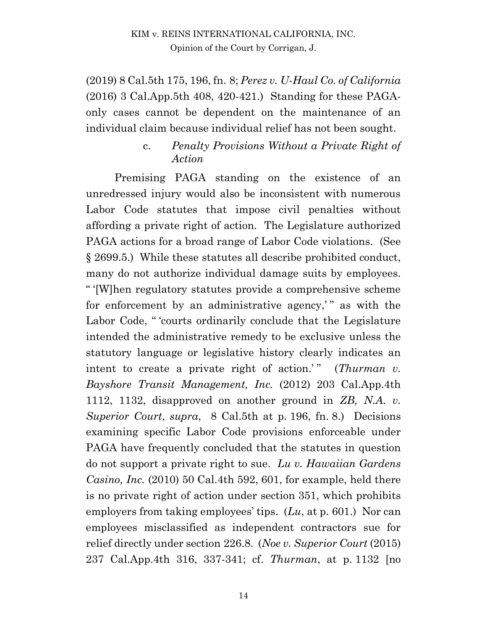#### KIM v. REINS INTERNATIONAL CALIFORNIA, INC. Opinion of the Court by Corrigan, J.

(2019) 8 Cal.5th 175, 196, fn. 8; *Perez v. U-Haul Co. of California* (2016) 3 Cal.App.5th 408, 420-421.) Standing for these PAGAonly cases cannot be dependent on the maintenance of an individual claim because individual relief has not been sought.

> c. *Penalty Provisions Without a Private Right of Action*

Premising PAGA standing on the existence of an unredressed injury would also be inconsistent with numerous Labor Code statutes that impose civil penalties without affording a private right of action. The Legislature authorized PAGA actions for a broad range of Labor Code violations. (See § 2699.5.) While these statutes all describe prohibited conduct, many do not authorize individual damage suits by employees. " '[W]hen regulatory statutes provide a comprehensive scheme for enforcement by an administrative agency," as with the Labor Code, " 'courts ordinarily conclude that the Legislature intended the administrative remedy to be exclusive unless the statutory language or legislative history clearly indicates an intent to create a private right of action.'" (*Thurman v. Bayshore Transit Management, Inc.* (2012) 203 Cal.App.4th 1112, 1132, disapproved on another ground in *ZB, N.A. v. Superior Court*, *supra*, 8 Cal.5th at p. 196, fn. 8.) Decisions examining specific Labor Code provisions enforceable under PAGA have frequently concluded that the statutes in question do not support a private right to sue. *Lu v. Hawaiian Gardens Casino, Inc.* (2010) 50 Cal.4th 592, 601, for example, held there is no private right of action under section 351, which prohibits employers from taking employees' tips. (*Lu*, at p. 601.) Nor can employees misclassified as independent contractors sue for relief directly under section 226.8. (*Noe v. Superior Court* (2015) 237 Cal.App.4th 316, 337-341; cf. *Thurman*, at p. 1132 [no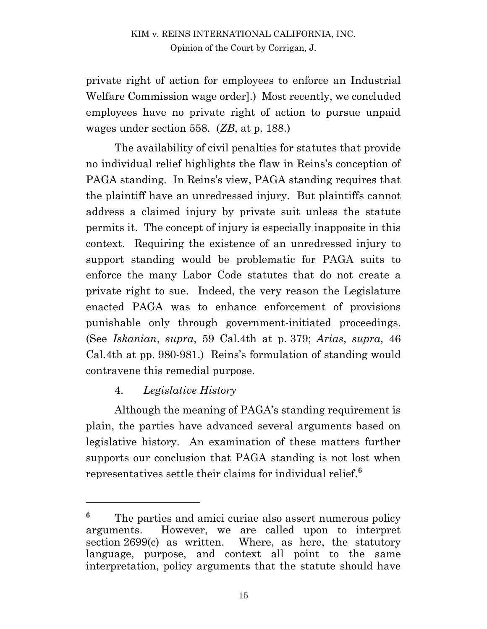private right of action for employees to enforce an Industrial Welfare Commission wage order].) Most recently, we concluded employees have no private right of action to pursue unpaid wages under section 558. (*ZB*, at p. 188.)

The availability of civil penalties for statutes that provide no individual relief highlights the flaw in Reins's conception of PAGA standing. In Reins's view, PAGA standing requires that the plaintiff have an unredressed injury. But plaintiffs cannot address a claimed injury by private suit unless the statute permits it. The concept of injury is especially inapposite in this context. Requiring the existence of an unredressed injury to support standing would be problematic for PAGA suits to enforce the many Labor Code statutes that do not create a private right to sue. Indeed, the very reason the Legislature enacted PAGA was to enhance enforcement of provisions punishable only through government-initiated proceedings. (See *Iskanian*, *supra*, 59 Cal.4th at p. 379; *Arias*, *supra*, 46 Cal.4th at pp. 980-981.) Reins's formulation of standing would contravene this remedial purpose.

### 4. *Legislative History*

 $\overline{a}$ 

Although the meaning of PAGA's standing requirement is plain, the parties have advanced several arguments based on legislative history. An examination of these matters further supports our conclusion that PAGA standing is not lost when representatives settle their claims for individual relief.**<sup>6</sup>**

<sup>&</sup>lt;sup>6</sup> The parties and amici curiae also assert numerous policy arguments. However, we are called upon to interpret section 2699(c) as written. Where, as here, the statutory language, purpose, and context all point to the same interpretation, policy arguments that the statute should have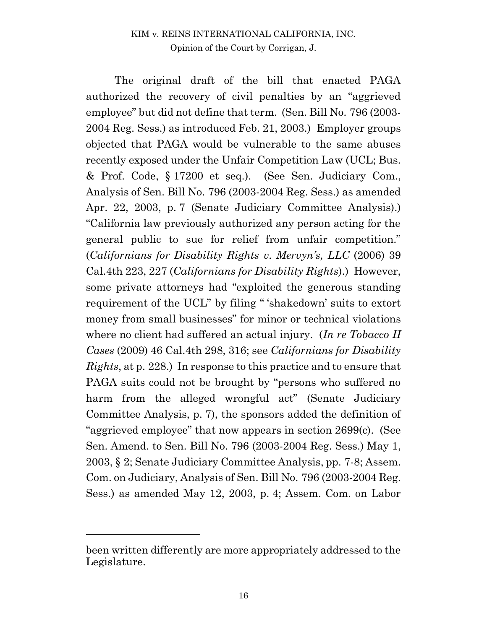The original draft of the bill that enacted PAGA authorized the recovery of civil penalties by an "aggrieved employee" but did not define that term. (Sen. Bill No. 796 (2003- 2004 Reg. Sess.) as introduced Feb. 21, 2003.) Employer groups objected that PAGA would be vulnerable to the same abuses recently exposed under the Unfair Competition Law (UCL; Bus. & Prof. Code, § 17200 et seq.). (See Sen. Judiciary Com., Analysis of Sen. Bill No. 796 (2003-2004 Reg. Sess.) as amended Apr. 22, 2003, p. 7 (Senate Judiciary Committee Analysis).) "California law previously authorized any person acting for the general public to sue for relief from unfair competition." (*Californians for Disability Rights v. Mervyn's, LLC* (2006) 39 Cal.4th 223, 227 (*Californians for Disability Rights*).) However, some private attorneys had "exploited the generous standing requirement of the UCL" by filing " 'shakedown' suits to extort money from small businesses" for minor or technical violations where no client had suffered an actual injury. (*In re Tobacco II Cases* (2009) 46 Cal.4th 298, 316; see *Californians for Disability Rights*, at p. 228.) In response to this practice and to ensure that PAGA suits could not be brought by "persons who suffered no harm from the alleged wrongful act" (Senate Judiciary Committee Analysis, p. 7), the sponsors added the definition of "aggrieved employee" that now appears in section 2699(c). (See Sen. Amend. to Sen. Bill No. 796 (2003-2004 Reg. Sess.) May 1, 2003, § 2; Senate Judiciary Committee Analysis, pp. 7-8; Assem. Com. on Judiciary, Analysis of Sen. Bill No. 796 (2003-2004 Reg. Sess.) as amended May 12, 2003, p. 4; Assem. Com. on Labor

been written differently are more appropriately addressed to the Legislature.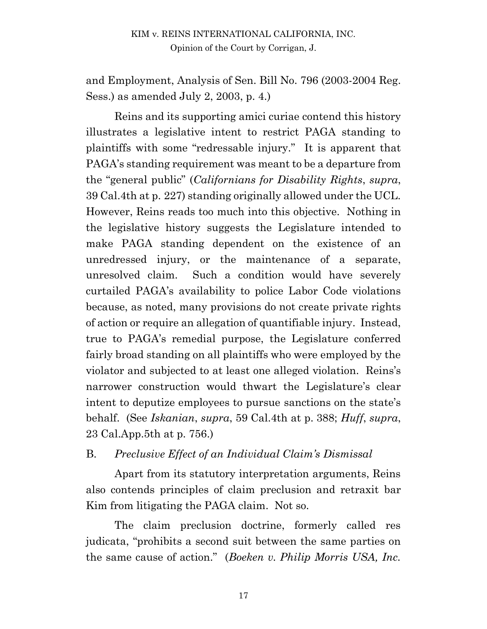and Employment, Analysis of Sen. Bill No. 796 (2003-2004 Reg. Sess.) as amended July 2, 2003, p. 4.)

Reins and its supporting amici curiae contend this history illustrates a legislative intent to restrict PAGA standing to plaintiffs with some "redressable injury." It is apparent that PAGA's standing requirement was meant to be a departure from the "general public" (*Californians for Disability Rights*, *supra*, 39 Cal.4th at p. 227) standing originally allowed under the UCL. However, Reins reads too much into this objective. Nothing in the legislative history suggests the Legislature intended to make PAGA standing dependent on the existence of an unredressed injury, or the maintenance of a separate, unresolved claim. Such a condition would have severely curtailed PAGA's availability to police Labor Code violations because, as noted, many provisions do not create private rights of action or require an allegation of quantifiable injury. Instead, true to PAGA's remedial purpose, the Legislature conferred fairly broad standing on all plaintiffs who were employed by the violator and subjected to at least one alleged violation. Reins's narrower construction would thwart the Legislature's clear intent to deputize employees to pursue sanctions on the state's behalf. (See *Iskanian*, *supra*, 59 Cal.4th at p. 388; *Huff*, *supra*, 23 Cal.App.5th at p. 756.)

### B. *Preclusive Effect of an Individual Claim's Dismissal*

Apart from its statutory interpretation arguments, Reins also contends principles of claim preclusion and retraxit bar Kim from litigating the PAGA claim. Not so.

The claim preclusion doctrine, formerly called res judicata, "prohibits a second suit between the same parties on the same cause of action." (*Boeken v. Philip Morris USA, Inc.*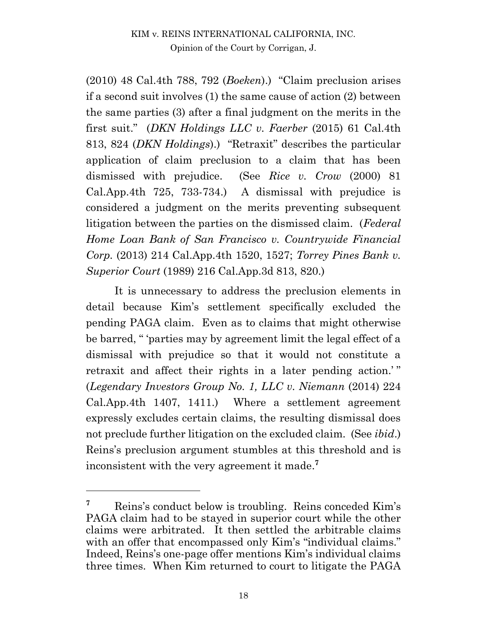(2010) 48 Cal.4th 788, 792 (*Boeken*).) "Claim preclusion arises if a second suit involves (1) the same cause of action (2) between the same parties (3) after a final judgment on the merits in the first suit." (*DKN Holdings LLC v. Faerber* (2015) 61 Cal.4th 813, 824 (*DKN Holdings*).) "Retraxit" describes the particular application of claim preclusion to a claim that has been dismissed with prejudice. (See *Rice v. Crow* (2000) 81 Cal.App.4th 725, 733-734.) A dismissal with prejudice is considered a judgment on the merits preventing subsequent litigation between the parties on the dismissed claim. (*Federal Home Loan Bank of San Francisco v. Countrywide Financial Corp.* (2013) 214 Cal.App.4th 1520, 1527; *Torrey Pines Bank v. Superior Court* (1989) 216 Cal.App.3d 813, 820.)

It is unnecessary to address the preclusion elements in detail because Kim's settlement specifically excluded the pending PAGA claim. Even as to claims that might otherwise be barred, " 'parties may by agreement limit the legal effect of a dismissal with prejudice so that it would not constitute a retraxit and affect their rights in a later pending action.'" (*Legendary Investors Group No. 1, LLC v. Niemann* (2014) 224 Cal.App.4th 1407, 1411.) Where a settlement agreement expressly excludes certain claims, the resulting dismissal does not preclude further litigation on the excluded claim. (See *ibid*.) Reins's preclusion argument stumbles at this threshold and is inconsistent with the very agreement it made. **7**

 $\overline{a}$ 

**<sup>7</sup>** Reins's conduct below is troubling. Reins conceded Kim's PAGA claim had to be stayed in superior court while the other claims were arbitrated. It then settled the arbitrable claims with an offer that encompassed only Kim's "individual claims." Indeed, Reins's one-page offer mentions Kim's individual claims three times. When Kim returned to court to litigate the PAGA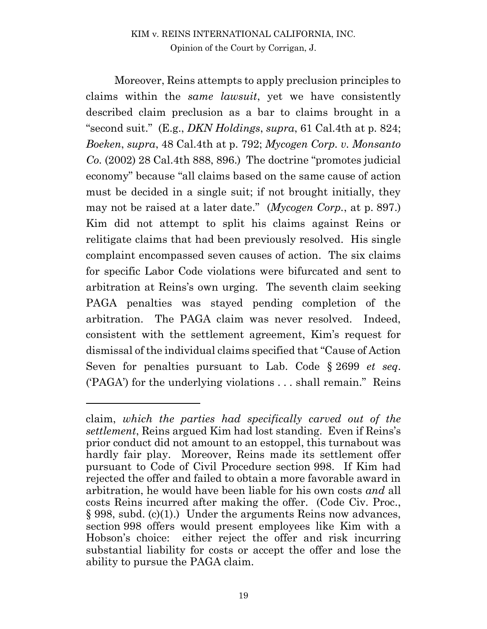#### KIM v. REINS INTERNATIONAL CALIFORNIA, INC. Opinion of the Court by Corrigan, J.

Moreover, Reins attempts to apply preclusion principles to claims within the *same lawsuit*, yet we have consistently described claim preclusion as a bar to claims brought in a "second suit." (E.g., *DKN Holdings*, *supra*, 61 Cal.4th at p. 824; *Boeken*, *supra*, 48 Cal.4th at p. 792; *Mycogen Corp. v. Monsanto Co.* (2002) 28 Cal.4th 888, 896.) The doctrine "promotes judicial economy" because "all claims based on the same cause of action must be decided in a single suit; if not brought initially, they may not be raised at a later date." (*Mycogen Corp.*, at p. 897.) Kim did not attempt to split his claims against Reins or relitigate claims that had been previously resolved. His single complaint encompassed seven causes of action. The six claims for specific Labor Code violations were bifurcated and sent to arbitration at Reins's own urging. The seventh claim seeking PAGA penalties was stayed pending completion of the arbitration. The PAGA claim was never resolved. Indeed, consistent with the settlement agreement, Kim's request for dismissal of the individual claims specified that "Cause of Action Seven for penalties pursuant to Lab. Code § 2699 *et seq*. ('PAGA') for the underlying violations . . . shall remain." Reins

 $\overline{a}$ 

claim, *which the parties had specifically carved out of the settlement*, Reins argued Kim had lost standing. Even if Reins's prior conduct did not amount to an estoppel, this turnabout was hardly fair play. Moreover, Reins made its settlement offer pursuant to Code of Civil Procedure section 998. If Kim had rejected the offer and failed to obtain a more favorable award in arbitration, he would have been liable for his own costs *and* all costs Reins incurred after making the offer. (Code Civ. Proc., § 998, subd. (c)(1).) Under the arguments Reins now advances, section 998 offers would present employees like Kim with a Hobson's choice: either reject the offer and risk incurring substantial liability for costs or accept the offer and lose the ability to pursue the PAGA claim.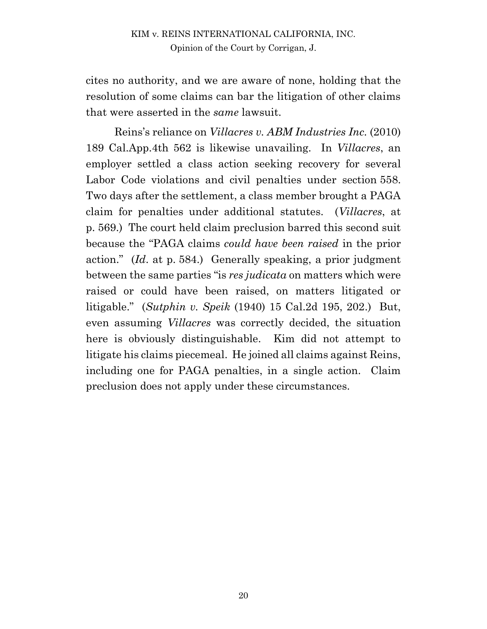cites no authority, and we are aware of none, holding that the resolution of some claims can bar the litigation of other claims that were asserted in the *same* lawsuit.

Reins's reliance on *Villacres v. ABM Industries Inc.* (2010) 189 Cal.App.4th 562 is likewise unavailing. In *Villacres*, an employer settled a class action seeking recovery for several Labor Code violations and civil penalties under section 558. Two days after the settlement, a class member brought a PAGA claim for penalties under additional statutes. (*Villacres*, at p. 569.) The court held claim preclusion barred this second suit because the "PAGA claims *could have been raised* in the prior action." (*Id*. at p. 584.) Generally speaking, a prior judgment between the same parties "is *res judicata* on matters which were raised or could have been raised, on matters litigated or litigable." (*Sutphin v. Speik* (1940) 15 Cal.2d 195, 202.) But, even assuming *Villacres* was correctly decided, the situation here is obviously distinguishable. Kim did not attempt to litigate his claims piecemeal. He joined all claims against Reins, including one for PAGA penalties, in a single action. Claim preclusion does not apply under these circumstances.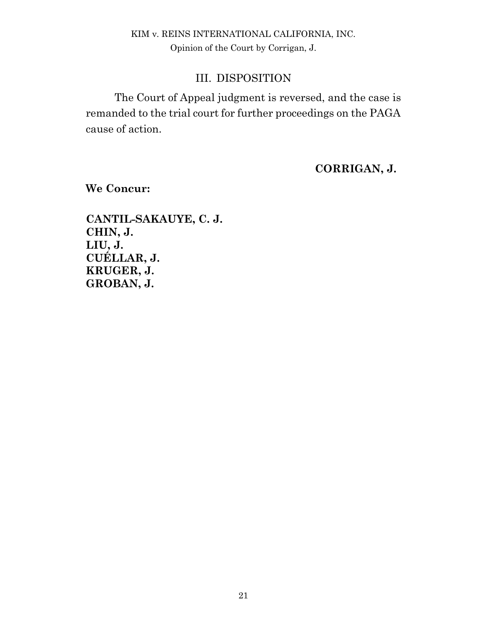### III. DISPOSITION

The Court of Appeal judgment is reversed, and the case is remanded to the trial court for further proceedings on the PAGA cause of action.

**CORRIGAN, J.**

**We Concur:**

**CANTIL-SAKAUYE, C. J. CHIN, J. LIU, J. CUÉLLAR, J. KRUGER, J. GROBAN, J.**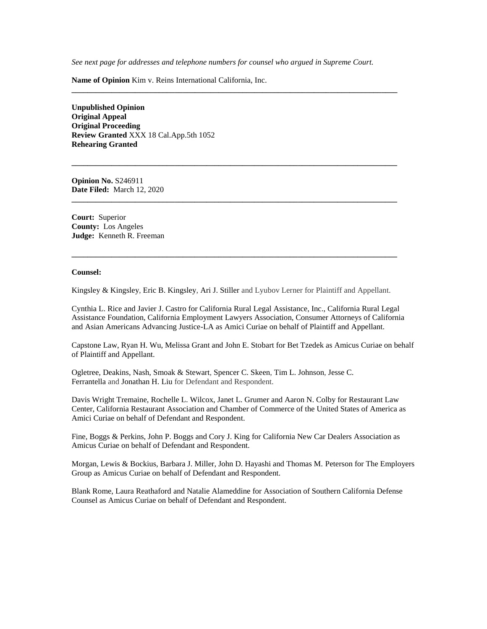*See next page for addresses and telephone numbers for counsel who argued in Supreme Court.*

**\_\_\_\_\_\_\_\_\_\_\_\_\_\_\_\_\_\_\_\_\_\_\_\_\_\_\_\_\_\_\_\_\_\_\_\_\_\_\_\_\_\_\_\_\_\_\_\_\_\_\_\_\_\_\_\_\_\_\_\_\_\_\_\_\_\_\_\_\_\_\_\_\_\_\_\_\_\_\_\_\_\_**

**\_\_\_\_\_\_\_\_\_\_\_\_\_\_\_\_\_\_\_\_\_\_\_\_\_\_\_\_\_\_\_\_\_\_\_\_\_\_\_\_\_\_\_\_\_\_\_\_\_\_\_\_\_\_\_\_\_\_\_\_\_\_\_\_\_\_\_\_\_\_\_\_\_\_\_\_\_\_\_\_\_\_**

**\_\_\_\_\_\_\_\_\_\_\_\_\_\_\_\_\_\_\_\_\_\_\_\_\_\_\_\_\_\_\_\_\_\_\_\_\_\_\_\_\_\_\_\_\_\_\_\_\_\_\_\_\_\_\_\_\_\_\_\_\_\_\_\_\_\_\_\_\_\_\_\_\_\_\_\_\_\_\_\_\_\_**

**\_\_\_\_\_\_\_\_\_\_\_\_\_\_\_\_\_\_\_\_\_\_\_\_\_\_\_\_\_\_\_\_\_\_\_\_\_\_\_\_\_\_\_\_\_\_\_\_\_\_\_\_\_\_\_\_\_\_\_\_\_\_\_\_\_\_\_\_\_\_\_\_\_\_\_\_\_\_\_\_\_\_**

**Name of Opinion** Kim v. Reins International California, Inc.

**Unpublished Opinion Original Appeal Original Proceeding Review Granted** XXX 18 Cal.App.5th 1052 **Rehearing Granted**

**Opinion No.** S246911 **Date Filed:** March 12, 2020

**Court:** Superior **County:** Los Angeles **Judge:** Kenneth R. Freeman

#### **Counsel:**

Kingsley & Kingsley, Eric B. Kingsley, Ari J. Stiller and Lyubov Lerner for Plaintiff and Appellant.

Cynthia L. Rice and Javier J. Castro for California Rural Legal Assistance, Inc., California Rural Legal Assistance Foundation, California Employment Lawyers Association, Consumer Attorneys of California and Asian Americans Advancing Justice-LA as Amici Curiae on behalf of Plaintiff and Appellant.

Capstone Law, Ryan H. Wu, Melissa Grant and John E. Stobart for Bet Tzedek as Amicus Curiae on behalf of Plaintiff and Appellant.

Ogletree, Deakins, Nash, Smoak & Stewart, Spencer C. Skeen, Tim L. Johnson, Jesse C. Ferrantella and Jonathan H. Liu for Defendant and Respondent.

Davis Wright Tremaine, Rochelle L. Wilcox, Janet L. Grumer and Aaron N. Colby for Restaurant Law Center, California Restaurant Association and Chamber of Commerce of the United States of America as Amici Curiae on behalf of Defendant and Respondent.

Fine, Boggs & Perkins, John P. Boggs and Cory J. King for California New Car Dealers Association as Amicus Curiae on behalf of Defendant and Respondent.

Morgan, Lewis & Bockius, Barbara J. Miller, John D. Hayashi and Thomas M. Peterson for The Employers Group as Amicus Curiae on behalf of Defendant and Respondent.

Blank Rome, Laura Reathaford and Natalie Alameddine for Association of Southern California Defense Counsel as Amicus Curiae on behalf of Defendant and Respondent.